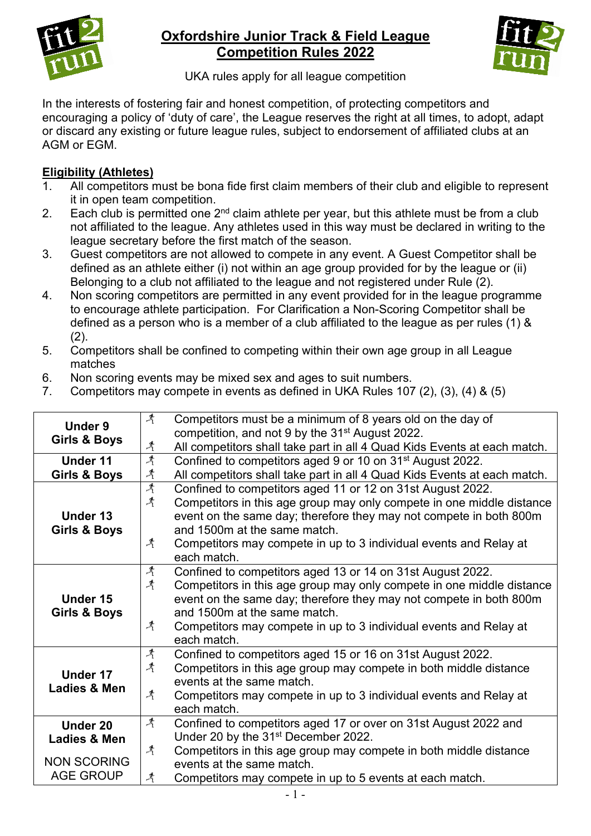

# **Oxfordshire Junior Track & Field League Competition Rules 2022**



UKA rules apply for all league competition

In the interests of fostering fair and honest competition, of protecting competitors and encouraging a policy of 'duty of care', the League reserves the right at all times, to adopt, adapt or discard any existing or future league rules, subject to endorsement of affiliated clubs at an AGM or EGM.

### **Eligibility (Athletes)**

- 1. All competitors must be bona fide first claim members of their club and eligible to represent it in open team competition.
- 2. Each club is permitted one  $2^{nd}$  claim athlete per year, but this athlete must be from a club not affiliated to the league. Any athletes used in this way must be declared in writing to the league secretary before the first match of the season.
- 3. Guest competitors are not allowed to compete in any event. A Guest Competitor shall be defined as an athlete either (i) not within an age group provided for by the league or (ii) Belonging to a club not affiliated to the league and not registered under Rule (2).
- 4. Non scoring competitors are permitted in any event provided for in the league programme to encourage athlete participation. For Clarification a Non-Scoring Competitor shall be defined as a person who is a member of a club affiliated to the league as per rules (1) &  $(2)$ .
- 5. Competitors shall be confined to competing within their own age group in all League matches
- 6. Non scoring events may be mixed sex and ages to suit numbers.
- 7. Competitors may compete in events as defined in UKA Rules 107 (2), (3), (4) & (5)

| Under 9<br><b>Girls &amp; Boys</b>                                 | $\mathcal{A}$<br>$\mathcal{A}$                      | Competitors must be a minimum of 8 years old on the day of<br>competition, and not 9 by the 31 <sup>st</sup> August 2022.<br>All competitors shall take part in all 4 Quad Kids Events at each match.                                                                                                                         |
|--------------------------------------------------------------------|-----------------------------------------------------|-------------------------------------------------------------------------------------------------------------------------------------------------------------------------------------------------------------------------------------------------------------------------------------------------------------------------------|
| Under 11<br>Girls & Boys                                           | $\mathcal{A}$<br>$\lambda$                          | Confined to competitors aged 9 or 10 on 31 <sup>st</sup> August 2022.<br>All competitors shall take part in all 4 Quad Kids Events at each match.                                                                                                                                                                             |
| Under 13<br>Girls & Boys                                           | $\mathcal{A}$<br>$\mathcal{A}$<br>$\mathcal{A}$     | Confined to competitors aged 11 or 12 on 31st August 2022.<br>Competitors in this age group may only compete in one middle distance<br>event on the same day; therefore they may not compete in both 800m<br>and 1500m at the same match.<br>Competitors may compete in up to 3 individual events and Relay at<br>each match. |
| Under 15<br><b>Girls &amp; Boys</b>                                | $\mathcal{A}^-$<br>$\mathcal{A}^-$<br>$\mathcal{A}$ | Confined to competitors aged 13 or 14 on 31st August 2022.<br>Competitors in this age group may only compete in one middle distance<br>event on the same day; therefore they may not compete in both 800m<br>and 1500m at the same match.<br>Competitors may compete in up to 3 individual events and Relay at<br>each match. |
| Under 17<br>Ladies & Men                                           | $\mathcal{A}^-$<br>$\mathcal{A}$<br>$\mathcal{A}^-$ | Confined to competitors aged 15 or 16 on 31st August 2022.<br>Competitors in this age group may compete in both middle distance<br>events at the same match.<br>Competitors may compete in up to 3 individual events and Relay at<br>each match.                                                                              |
| Under 20<br>Ladies & Men<br><b>NON SCORING</b><br><b>AGE GROUP</b> | $\mathcal{A}$<br>$\mathcal{A}^-$<br>$\mathcal{A}$   | Confined to competitors aged 17 or over on 31st August 2022 and<br>Under 20 by the 31 <sup>st</sup> December 2022.<br>Competitors in this age group may compete in both middle distance<br>events at the same match.<br>Competitors may compete in up to 5 events at each match.                                              |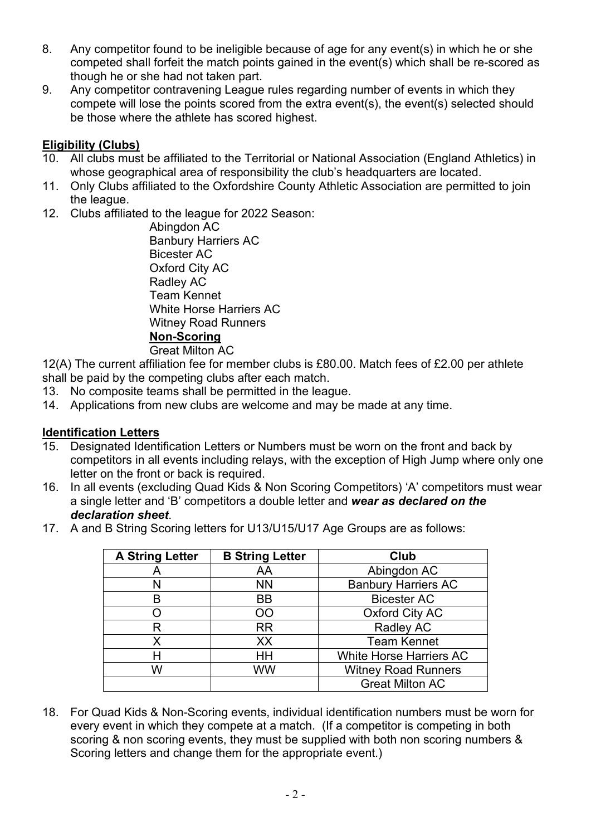- 8. Any competitor found to be ineligible because of age for any event(s) in which he or she competed shall forfeit the match points gained in the event(s) which shall be re-scored as though he or she had not taken part.
- 9. Any competitor contravening League rules regarding number of events in which they compete will lose the points scored from the extra event(s), the event(s) selected should be those where the athlete has scored highest.

### **Eligibility (Clubs)**

- 10. All clubs must be affiliated to the Territorial or National Association (England Athletics) in whose geographical area of responsibility the club's headquarters are located.
- 11. Only Clubs affiliated to the Oxfordshire County Athletic Association are permitted to join the league.
- 12. Clubs affiliated to the league for 2022 Season:

Abingdon AC Banbury Harriers AC Bicester AC Oxford City AC Radley AC Team Kennet White Horse Harriers AC Witney Road Runners **Non-Scoring** Great Milton AC

12(A) The current affiliation fee for member clubs is £80.00. Match fees of £2.00 per athlete

- shall be paid by the competing clubs after each match.
- 13. No composite teams shall be permitted in the league.
- 14. Applications from new clubs are welcome and may be made at any time.

### **Identification Letters**

- 15. Designated Identification Letters or Numbers must be worn on the front and back by competitors in all events including relays, with the exception of High Jump where only one letter on the front or back is required.
- 16. In all events (excluding Quad Kids & Non Scoring Competitors) 'A' competitors must wear a single letter and 'B' competitors a double letter and *wear as declared on the declaration sheet*.
- 17. A and B String Scoring letters for U13/U15/U17 Age Groups are as follows:

| <b>A String Letter</b> | <b>B String Letter</b> | Club                           |  |
|------------------------|------------------------|--------------------------------|--|
|                        | AA                     | Abingdon AC                    |  |
|                        | <b>NN</b>              | <b>Banbury Harriers AC</b>     |  |
| в                      | BВ                     | <b>Bicester AC</b>             |  |
|                        | OO                     | <b>Oxford City AC</b>          |  |
| R                      | <b>RR</b>              | Radley AC                      |  |
| Χ                      | XX                     | <b>Team Kennet</b>             |  |
|                        | HН                     | <b>White Horse Harriers AC</b> |  |
| W                      | WW                     | <b>Witney Road Runners</b>     |  |
|                        |                        | <b>Great Milton AC</b>         |  |

18. For Quad Kids & Non-Scoring events, individual identification numbers must be worn for every event in which they compete at a match. (If a competitor is competing in both scoring & non scoring events, they must be supplied with both non scoring numbers & Scoring letters and change them for the appropriate event.)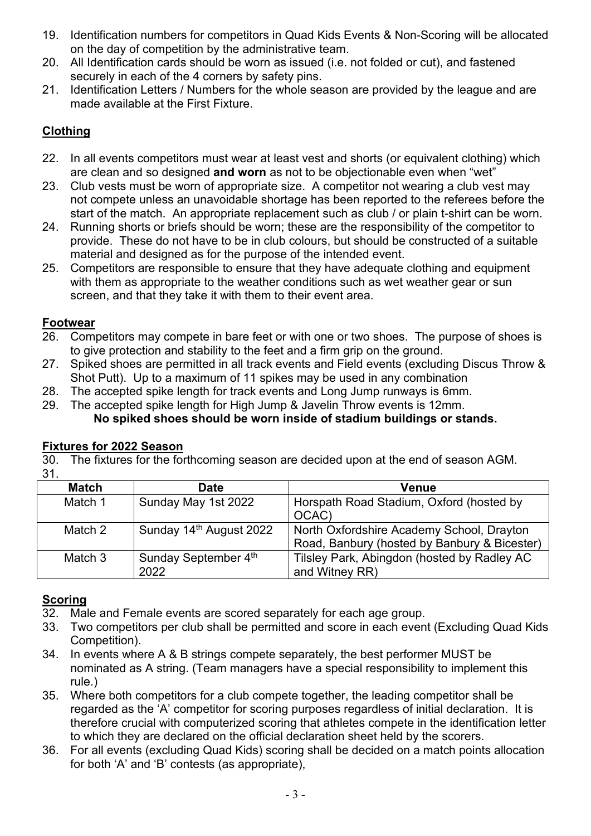- 19. Identification numbers for competitors in Quad Kids Events & Non-Scoring will be allocated on the day of competition by the administrative team.
- 20. All Identification cards should be worn as issued (i.e. not folded or cut), and fastened securely in each of the 4 corners by safety pins.
- 21. Identification Letters / Numbers for the whole season are provided by the league and are made available at the First Fixture.

### **Clothing**

- 22. In all events competitors must wear at least vest and shorts (or equivalent clothing) which are clean and so designed **and worn** as not to be objectionable even when "wet"
- 23. Club vests must be worn of appropriate size. A competitor not wearing a club vest may not compete unless an unavoidable shortage has been reported to the referees before the start of the match. An appropriate replacement such as club / or plain t-shirt can be worn.
- 24. Running shorts or briefs should be worn; these are the responsibility of the competitor to provide. These do not have to be in club colours, but should be constructed of a suitable material and designed as for the purpose of the intended event.
- 25. Competitors are responsible to ensure that they have adequate clothing and equipment with them as appropriate to the weather conditions such as wet weather gear or sun screen, and that they take it with them to their event area.

### **Footwear**

- 26. Competitors may compete in bare feet or with one or two shoes. The purpose of shoes is to give protection and stability to the feet and a firm grip on the ground.
- 27. Spiked shoes are permitted in all track events and Field events (excluding Discus Throw & Shot Putt). Up to a maximum of 11 spikes may be used in any combination
- 28. The accepted spike length for track events and Long Jump runways is 6mm.
- 29. The accepted spike length for High Jump & Javelin Throw events is 12mm. **No spiked shoes should be worn inside of stadium buildings or stands.**

### **Fixtures for 2022 Season**

30. The fixtures for the forthcoming season are decided upon at the end of season AGM. 31.

| <b>Match</b> | <b>Date</b>                         | Venue                                                                                     |
|--------------|-------------------------------------|-------------------------------------------------------------------------------------------|
| Match 1      | Sunday May 1st 2022                 | Horspath Road Stadium, Oxford (hosted by<br>OCAC)                                         |
| Match 2      | Sunday 14 <sup>th</sup> August 2022 | North Oxfordshire Academy School, Drayton<br>Road, Banbury (hosted by Banbury & Bicester) |
| Match 3      | Sunday September 4th<br>2022        | Tilsley Park, Abingdon (hosted by Radley AC<br>and Witney RR)                             |

### **Scoring**

- 32. Male and Female events are scored separately for each age group.
- 33. Two competitors per club shall be permitted and score in each event (Excluding Quad Kids Competition).
- 34. In events where A & B strings compete separately, the best performer MUST be nominated as A string. (Team managers have a special responsibility to implement this rule.)
- 35. Where both competitors for a club compete together, the leading competitor shall be regarded as the 'A' competitor for scoring purposes regardless of initial declaration. It is therefore crucial with computerized scoring that athletes compete in the identification letter to which they are declared on the official declaration sheet held by the scorers.
- 36. For all events (excluding Quad Kids) scoring shall be decided on a match points allocation for both 'A' and 'B' contests (as appropriate),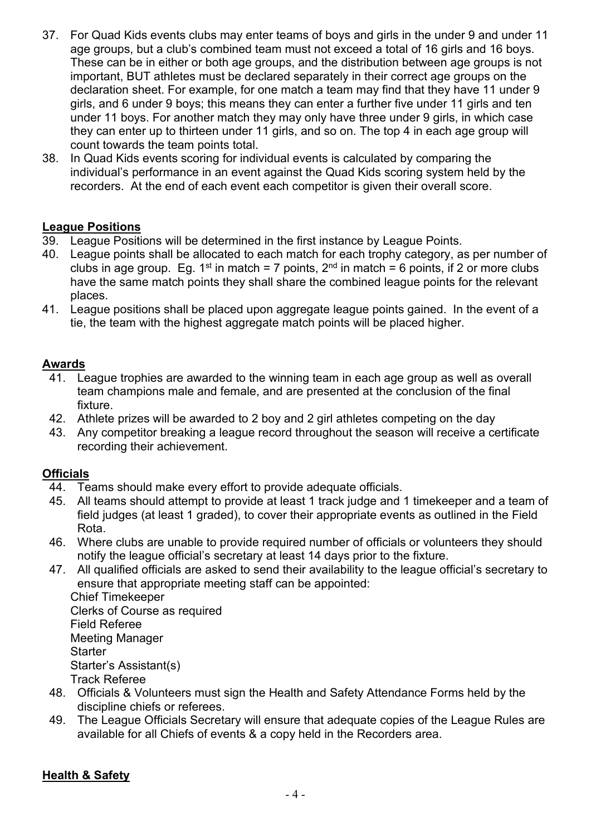- 37. For Quad Kids events clubs may enter teams of boys and girls in the under 9 and under 11 age groups, but a club's combined team must not exceed a total of 16 girls and 16 boys. These can be in either or both age groups, and the distribution between age groups is not important, BUT athletes must be declared separately in their correct age groups on the declaration sheet. For example, for one match a team may find that they have 11 under 9 girls, and 6 under 9 boys; this means they can enter a further five under 11 girls and ten under 11 boys. For another match they may only have three under 9 girls, in which case they can enter up to thirteen under 11 girls, and so on. The top 4 in each age group will count towards the team points total.
- 38. In Quad Kids events scoring for individual events is calculated by comparing the individual's performance in an event against the Quad Kids scoring system held by the recorders. At the end of each event each competitor is given their overall score.

#### **League Positions**

- 39. League Positions will be determined in the first instance by League Points.
- 40. League points shall be allocated to each match for each trophy category, as per number of clubs in age group. Eg. 1<sup>st</sup> in match = 7 points,  $2^{nd}$  in match = 6 points, if 2 or more clubs have the same match points they shall share the combined league points for the relevant places.
- 41. League positions shall be placed upon aggregate league points gained. In the event of a tie, the team with the highest aggregate match points will be placed higher.

### **Awards**

- 41. League trophies are awarded to the winning team in each age group as well as overall team champions male and female, and are presented at the conclusion of the final fixture.
- 42. Athlete prizes will be awarded to 2 boy and 2 girl athletes competing on the day
- 43. Any competitor breaking a league record throughout the season will receive a certificate recording their achievement.

#### **Officials**

- 44. Teams should make every effort to provide adequate officials.
- 45. All teams should attempt to provide at least 1 track judge and 1 timekeeper and a team of field judges (at least 1 graded), to cover their appropriate events as outlined in the Field Rota.
- 46. Where clubs are unable to provide required number of officials or volunteers they should notify the league official's secretary at least 14 days prior to the fixture.
- 47. All qualified officials are asked to send their availability to the league official's secretary to ensure that appropriate meeting staff can be appointed:

Chief Timekeeper Clerks of Course as required Field Referee Meeting Manager **Starter** Starter's Assistant(s) Track Referee

- 48. Officials & Volunteers must sign the Health and Safety Attendance Forms held by the discipline chiefs or referees.
- 49. The League Officials Secretary will ensure that adequate copies of the League Rules are available for all Chiefs of events & a copy held in the Recorders area.

### **Health & Safety**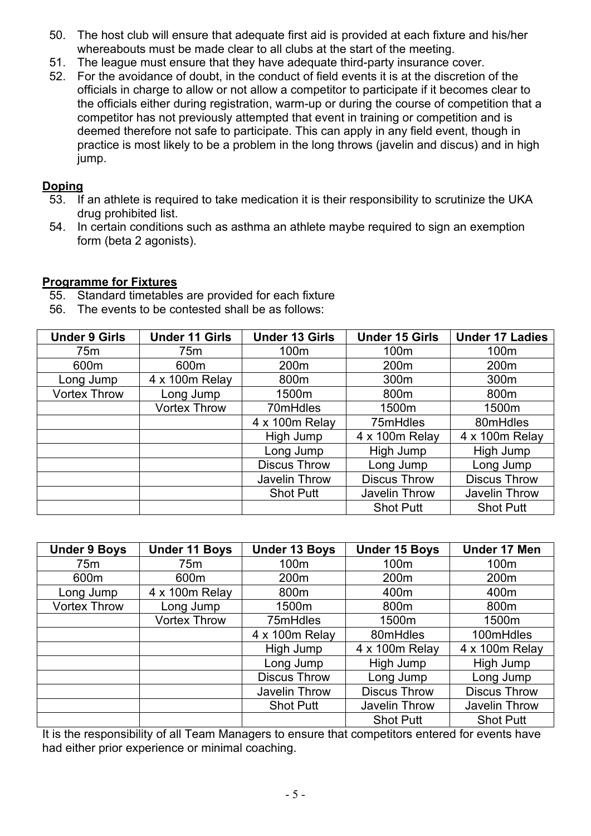- 50. The host club will ensure that adequate first aid is provided at each fixture and his/her whereabouts must be made clear to all clubs at the start of the meeting.
- 51. The league must ensure that they have adequate third-party insurance cover.
- 52. For the avoidance of doubt, in the conduct of field events it is at the discretion of the officials in charge to allow or not allow a competitor to participate if it becomes clear to the officials either during registration, warm-up or during the course of competition that a competitor has not previously attempted that event in training or competition and is deemed therefore not safe to participate. This can apply in any field event, though in practice is most likely to be a problem in the long throws (javelin and discus) and in high jump.

#### **Doping**

- 53. If an athlete is required to take medication it is their responsibility to scrutinize the UKA drug prohibited list.
- 54. In certain conditions such as asthma an athlete maybe required to sign an exemption form (beta 2 agonists).

### **Programme for Fixtures**

- 55. Standard timetables are provided for each fixture
- 56. The events to be contested shall be as follows:

| <b>Under 9 Girls</b> | <b>Under 11 Girls</b> | <b>Under 13 Girls</b> | <b>Under 15 Girls</b> | <b>Under 17 Ladies</b> |
|----------------------|-----------------------|-----------------------|-----------------------|------------------------|
| 75 <sub>m</sub>      | 75m                   | 100m                  | 100m                  | 100m                   |
| 600m                 | 600m                  | 200 <sub>m</sub>      | 200 <sub>m</sub>      | 200m                   |
| Long Jump            | 4 x 100m Relay        | 800m                  | 300 <sub>m</sub>      | 300m                   |
| <b>Vortex Throw</b>  | Long Jump             | 1500m                 | 800m                  | 800m                   |
|                      | <b>Vortex Throw</b>   | 70mHdles              | 1500m                 | 1500m                  |
|                      |                       | 4 x 100m Relay        | 75mHdles              | 80mHdles               |
|                      |                       | High Jump             | 4 x 100m Relay        | 4 x 100m Relay         |
|                      |                       | Long Jump             | High Jump             | High Jump              |
|                      |                       | <b>Discus Throw</b>   | Long Jump             | Long Jump              |
|                      |                       | Javelin Throw         | <b>Discus Throw</b>   | <b>Discus Throw</b>    |
|                      |                       | <b>Shot Putt</b>      | <b>Javelin Throw</b>  | <b>Javelin Throw</b>   |
|                      |                       |                       | <b>Shot Putt</b>      | <b>Shot Putt</b>       |

| <b>Under 9 Boys</b> | <b>Under 11 Boys</b> | <b>Under 13 Boys</b> | <b>Under 15 Boys</b> | Under 17 Men         |
|---------------------|----------------------|----------------------|----------------------|----------------------|
| 75m                 | 75m                  | 100m                 | 100m                 | 100m                 |
| 600m                | 600m                 | 200 <sub>m</sub>     | 200m                 | 200 <sub>m</sub>     |
| Long Jump           | 4 x 100m Relay       | 800m                 | 400m                 | 400m                 |
| <b>Vortex Throw</b> | Long Jump            | 1500m                | 800m                 | 800m                 |
|                     | <b>Vortex Throw</b>  | 75mHdles             | 1500m                | 1500m                |
|                     |                      | 4 x 100m Relay       | 80mHdles             | 100mHdles            |
|                     |                      | High Jump            | 4 x 100m Relay       | 4 x 100m Relay       |
|                     |                      | Long Jump            | High Jump            | High Jump            |
|                     |                      | <b>Discus Throw</b>  | Long Jump            | Long Jump            |
|                     |                      | Javelin Throw        | <b>Discus Throw</b>  | <b>Discus Throw</b>  |
|                     |                      | <b>Shot Putt</b>     | Javelin Throw        | <b>Javelin Throw</b> |
|                     |                      |                      | <b>Shot Putt</b>     | <b>Shot Putt</b>     |

It is the responsibility of all Team Managers to ensure that competitors entered for events have had either prior experience or minimal coaching.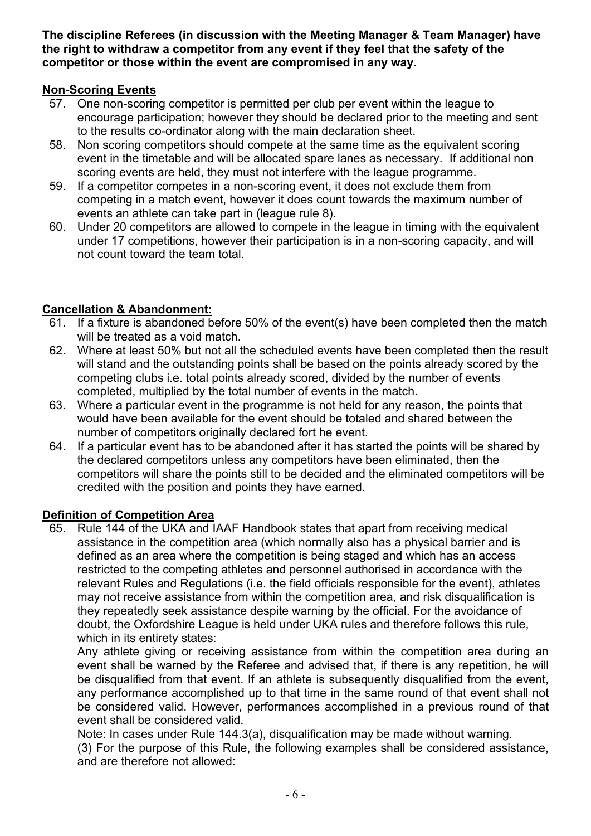**The discipline Referees (in discussion with the Meeting Manager & Team Manager) have the right to withdraw a competitor from any event if they feel that the safety of the competitor or those within the event are compromised in any way.**

### **Non-Scoring Events**

- 57. One non-scoring competitor is permitted per club per event within the league to encourage participation; however they should be declared prior to the meeting and sent to the results co-ordinator along with the main declaration sheet.
- 58. Non scoring competitors should compete at the same time as the equivalent scoring event in the timetable and will be allocated spare lanes as necessary. If additional non scoring events are held, they must not interfere with the league programme.
- 59. If a competitor competes in a non-scoring event, it does not exclude them from competing in a match event, however it does count towards the maximum number of events an athlete can take part in (league rule 8).
- 60. Under 20 competitors are allowed to compete in the league in timing with the equivalent under 17 competitions, however their participation is in a non-scoring capacity, and will not count toward the team total.

## **Cancellation & Abandonment:**

- 61. If a fixture is abandoned before 50% of the event(s) have been completed then the match will be treated as a void match.
- 62. Where at least 50% but not all the scheduled events have been completed then the result will stand and the outstanding points shall be based on the points already scored by the competing clubs i.e. total points already scored, divided by the number of events completed, multiplied by the total number of events in the match.
- 63. Where a particular event in the programme is not held for any reason, the points that would have been available for the event should be totaled and shared between the number of competitors originally declared fort he event.
- 64. If a particular event has to be abandoned after it has started the points will be shared by the declared competitors unless any competitors have been eliminated, then the competitors will share the points still to be decided and the eliminated competitors will be credited with the position and points they have earned.

### **Definition of Competition Area**

65. Rule 144 of the UKA and IAAF Handbook states that apart from receiving medical assistance in the competition area (which normally also has a physical barrier and is defined as an area where the competition is being staged and which has an access restricted to the competing athletes and personnel authorised in accordance with the relevant Rules and Regulations (i.e. the field officials responsible for the event), athletes may not receive assistance from within the competition area, and risk disqualification is they repeatedly seek assistance despite warning by the official. For the avoidance of doubt, the Oxfordshire League is held under UKA rules and therefore follows this rule, which in its entirety states:

Any athlete giving or receiving assistance from within the competition area during an event shall be warned by the Referee and advised that, if there is any repetition, he will be disqualified from that event. If an athlete is subsequently disqualified from the event, any performance accomplished up to that time in the same round of that event shall not be considered valid. However, performances accomplished in a previous round of that event shall be considered valid.

Note: In cases under Rule 144.3(a), disqualification may be made without warning.

(3) For the purpose of this Rule, the following examples shall be considered assistance, and are therefore not allowed: